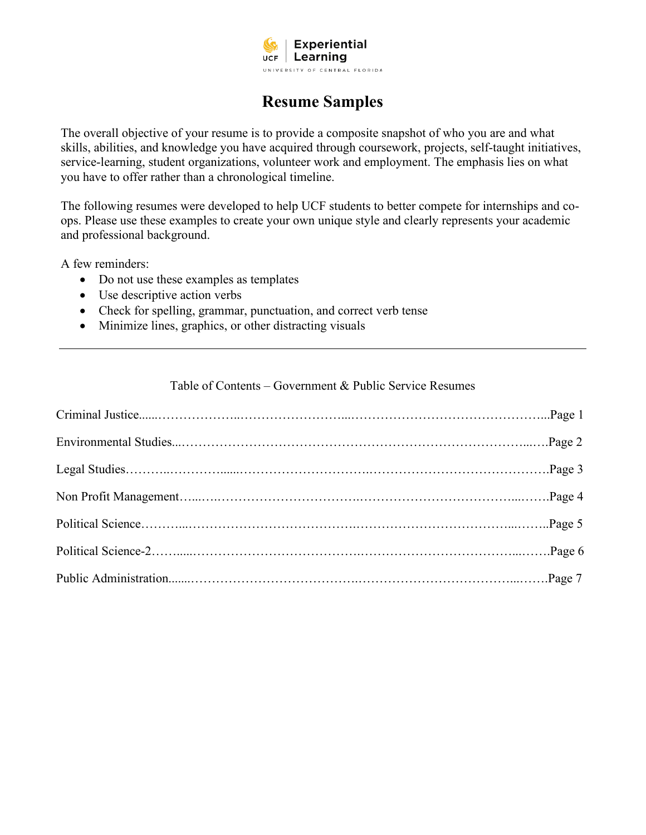

# **Resume Samples**

The overall objective of your resume is to provide a composite snapshot of who you are and what skills, abilities, and knowledge you have acquired through coursework, projects, self-taught initiatives, service-learning, student organizations, volunteer work and employment. The emphasis lies on what you have to offer rather than a chronological timeline.

The following resumes were developed to help UCF students to better compete for internships and coops. Please use these examples to create your own unique style and clearly represents your academic and professional background.

A few reminders:

- Do not use these examples as templates
- Use descriptive action verbs
- Check for spelling, grammar, punctuation, and correct verb tense
- Minimize lines, graphics, or other distracting visuals

#### Table of Contents – Government & Public Service Resumes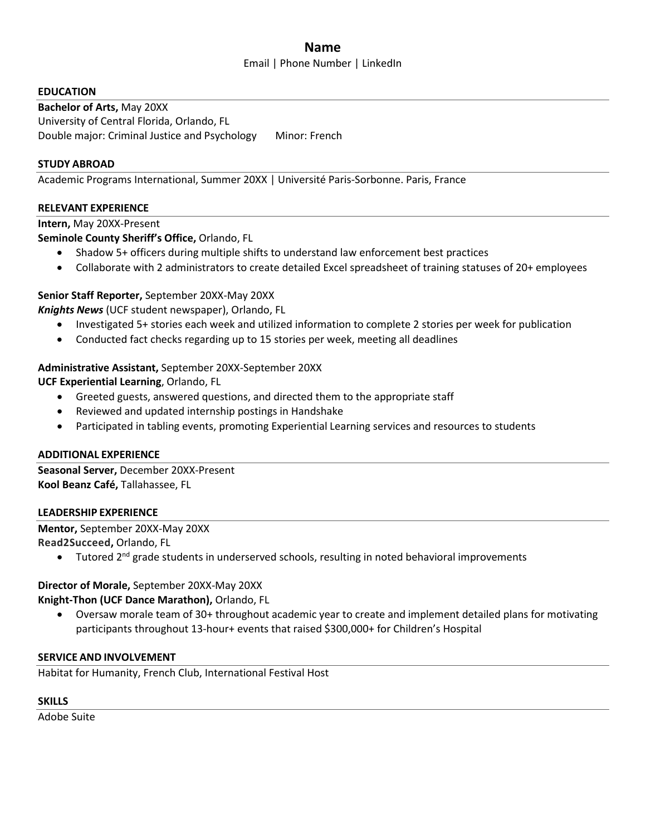# **Name**

#### Email | Phone Number | LinkedIn

#### **EDUCATION**

**Bachelor of Arts,** May 20XX University of Central Florida, Orlando, FL Double major: Criminal Justice and Psychology Minor: French

#### **STUDY ABROAD**

Academic Programs International, Summer 20XX | Université Paris-Sorbonne. Paris, France

#### **RELEVANT EXPERIENCE**

#### **Intern,** May 20XX-Present

#### **Seminole County Sheriff's Office,** Orlando, FL

- Shadow 5+ officers during multiple shifts to understand law enforcement best practices
- Collaborate with 2 administrators to create detailed Excel spreadsheet of training statuses of 20+ employees

#### **Senior Staff Reporter,** September 20XX-May 20XX

*Knights News* (UCF student newspaper), Orlando, FL

- Investigated 5+ stories each week and utilized information to complete 2 stories per week for publication
- Conducted fact checks regarding up to 15 stories per week, meeting all deadlines

#### **Administrative Assistant,** September 20XX-September 20XX

**UCF Experiential Learning**, Orlando, FL

- Greeted guests, answered questions, and directed them to the appropriate staff
- Reviewed and updated internship postings in Handshake
- Participated in tabling events, promoting Experiential Learning services and resources to students

#### **ADDITIONAL EXPERIENCE**

**Seasonal Server,** December 20XX-Present **Kool Beanz Café,** Tallahassee, FL

#### **LEADERSHIP EXPERIENCE**

**Mentor,** September 20XX-May 20XX **Read2Succeed,** Orlando, FL

• Tutored 2<sup>nd</sup> grade students in underserved schools, resulting in noted behavioral improvements

#### **Director of Morale,** September 20XX-May 20XX

**Knight-Thon (UCF Dance Marathon),** Orlando, FL

• Oversaw morale team of 30+ throughout academic year to create and implement detailed plans for motivating participants throughout 13-hour+ events that raised \$300,000+ for Children's Hospital

#### **SERVICE AND INVOLVEMENT**

Habitat for Humanity, French Club, International Festival Host

#### **SKILLS**

Adobe Suite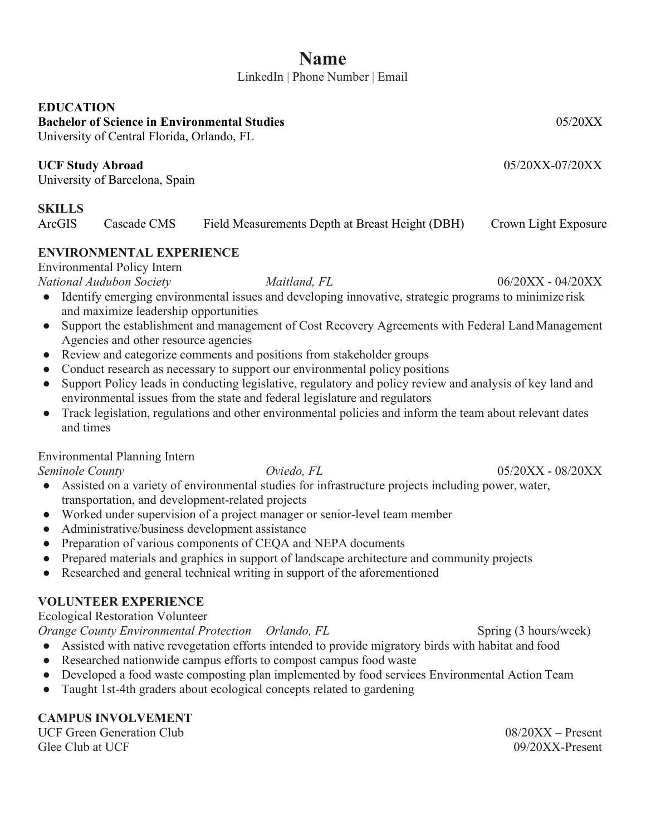# **Name**

LinkedIn | Phone Number | [Email](mailto:amanda.sudend@school.edu)

# **EDUCATION**

**Bachelor of Science in Environmental Studies** 05/20XX

University of Central Florida, Orlando, FL

# **UCF Study Abroad** 05/20XX-07/20XX

University of Barcelona, Spain

# **SKILLS**

ArcGIS Cascade CMS Field Measurements Depth at Breast Height (DBH) Crown Light Exposure

# **ENVIRONMENTAL EXPERIENCE**

Environmental Policy Intern

*National Audubon Society Maitland, FL* 06/20XX - 04/20XX

- Identify emerging environmental issues and developing innovative, strategic programs to minimize risk and maximize leadership opportunities
- Support the establishment and management of Cost Recovery Agreements with Federal Land Management Agencies and other resource agencies
- Review and categorize comments and positions from stakeholder groups
- Conduct research as necessary to support our environmental policy positions
- Support Policy leads in conducting legislative, regulatory and policy review and analysis of key land and environmental issues from the state and federal legislature and regulators
- Track legislation, regulations and other environmental policies and inform the team about relevant dates and times

# Environmental Planning Intern

- Assisted on a variety of environmental studies for infrastructure projects including power, water, transportation, and development-related projects
- Worked under supervision of a project manager or senior-level team member
- Administrative/business development assistance
- Preparation of various components of CEQA and NEPA documents
- Prepared materials and graphics in support of landscape architecture and community projects
- Researched and general technical writing in support of the aforementioned

# **VOLUNTEER EXPERIENCE**

Ecological Restoration Volunteer

*Orange County Environmental Protection Orlando, FL* Spring (3 hours/week)

- Assisted with native revegetation efforts intended to provide migratory birds with habitat and food
- Researched nationwide campus efforts to compost campus food waste
- Developed a food waste composting plan implemented by food services Environmental Action Team
- Taught 1st-4th graders about ecological concepts related to gardening

# **CAMPUS INVOLVEMENT**

UCF Green Generation Club 08/20XX – Present Glee Club at UCF 09/20XX-Present

*Seminole County Oviedo, FL* 05/20XX - 08/20XX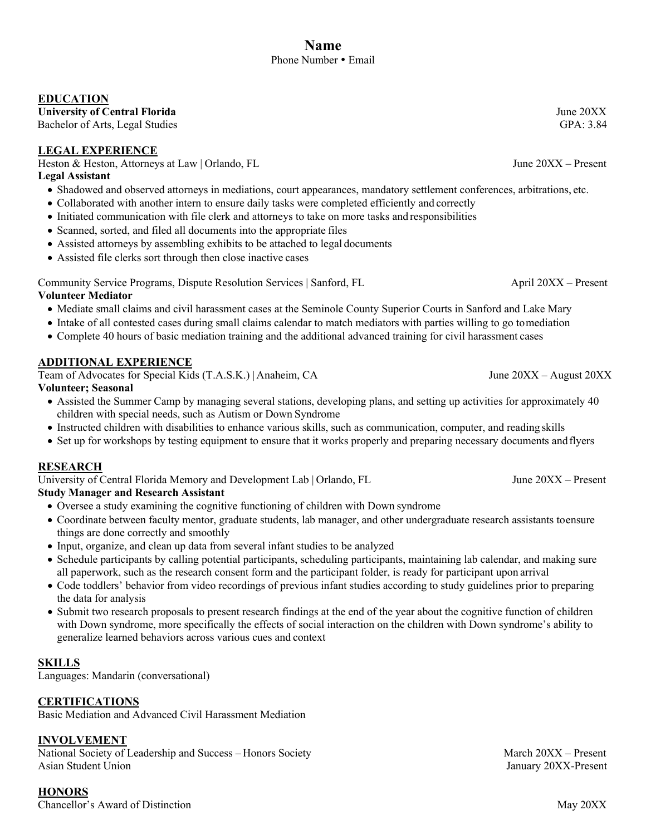#### **EDUCATION**

University of Central Florida June 20XX<br>
Bachelor of Arts. Legal Studies **Figure 2008** GPA: 3.84

Bachelor of Arts, Legal Studies

#### **LEGAL EXPERIENCE**

Heston & Heston, Attorneys at Law | Orlando, FL June 20XX – Present

#### **Legal Assistant**

- Shadowed and observed attorneys in mediations, court appearances, mandatory settlement conferences, arbitrations, etc.
- Collaborated with another intern to ensure daily tasks were completed efficiently and correctly
- Initiated communication with file clerk and attorneys to take on more tasks and responsibilities
- Scanned, sorted, and filed all documents into the appropriate files
- Assisted attorneys by assembling exhibits to be attached to legal documents
- Assisted file clerks sort through then close inactive cases

Community Service Programs, Dispute Resolution Services | Sanford, FL April 20XX – Present

#### **Volunteer Mediator**

- Mediate small claims and civil harassment cases at the Seminole County Superior Courts in Sanford and Lake Mary
- Intake of all contested cases during small claims calendar to match mediators with parties willing to go tomediation
- Complete 40 hours of basic mediation training and the additional advanced training for civil harassment cases

#### **ADDITIONAL EXPERIENCE**

Team of Advocates for Special Kids (T.A.S.K.) | Anaheim, CA June 20XX – August 20XX

- **Volunteer; Seasonal**
	- Assisted the Summer Camp by managing several stations, developing plans, and setting up activities for approximately 40 children with special needs, such as Autism or Down Syndrome
	- Instructed children with disabilities to enhance various skills, such as communication, computer, and reading skills
	- Set up for workshops by testing equipment to ensure that it works properly and preparing necessary documents andflyers

#### **RESEARCH**

University of Central Florida Memory and Development Lab | Orlando, FL June 20XX – Present

#### **Study Manager and Research Assistant**

- Oversee a study examining the cognitive functioning of children with Down syndrome
- Coordinate between faculty mentor, graduate students, lab manager, and other undergraduate research assistants toensure things are done correctly and smoothly
- Input, organize, and clean up data from several infant studies to be analyzed
- Schedule participants by calling potential participants, scheduling participants, maintaining lab calendar, and making sure all paperwork, such as the research consent form and the participant folder, is ready for participant upon arrival
- Code toddlers' behavior from video recordings of previous infant studies according to study guidelines prior to preparing the data for analysis
- Submit two research proposals to present research findings at the end of the year about the cognitive function of children with Down syndrome, more specifically the effects of social interaction on the children with Down syndrome's ability to generalize learned behaviors across various cues and context

#### **SKILLS**

Languages: Mandarin (conversational)

#### **CERTIFICATIONS**

Basic Mediation and Advanced Civil Harassment Mediation

#### **INVOLVEMENT**

National Society of Leadership and Success – Honors Society March 20XX – Present Asian Student Union January 20XX-Present

**HONORS** Chancellor's Award of Distinction May 20XX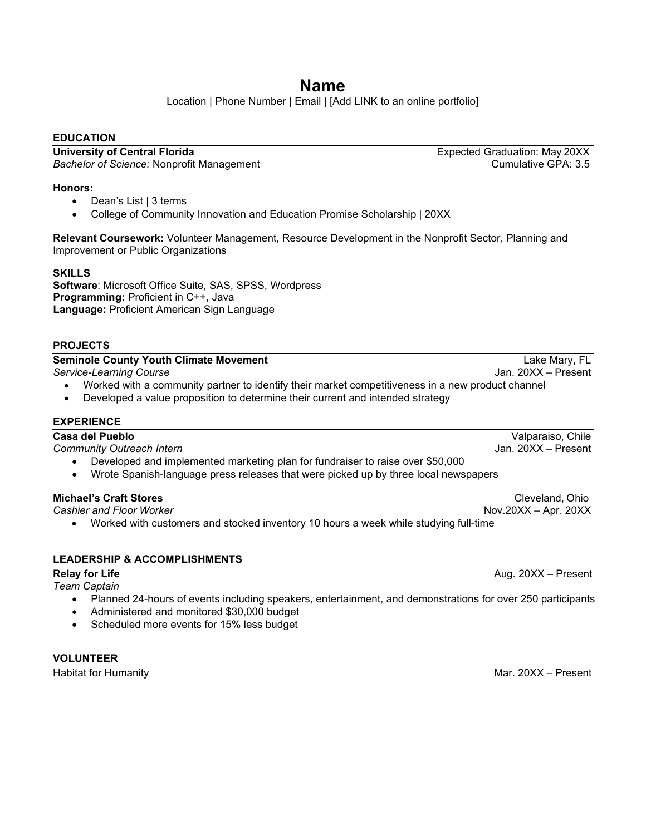# **Name**

Location | Phone Number | Email | [Add LINK to an online portfolio]

#### **EDUCATION**

**University of Central Florida** Expected Graduation: May 20XX<br>Bachelor of Science: Nonprofit Management **Expected Graduation: May 20XX**<br>Cumulative GPA: 3.5 *Bachelor of Science:* Nonprofit Management

#### **Honors:**

- Dean's List | 3 terms
- College of Community Innovation and Education Promise Scholarship | 20XX

**Relevant Coursework:** Volunteer Management, Resource Development in the Nonprofit Sector, Planning and Improvement or Public Organizations

#### **SKILLS**

**Software**: Microsoft Office Suite, SAS, SPSS, Wordpress **Programming:** Proficient in C++, Java **Language:** Proficient American Sign Language

#### **PROJECTS**

#### **Seminole County Youth Climate Movement County County Youth Climate Movement County Lake Mary, FL**

*Service-Learning Course* Jan. 20XX – Present

- Worked with a community partner to identify their market competitiveness in a new product channel
- Developed a value proposition to determine their current and intended strategy

#### **EXPERIENCE**

**Casa del Pueblo** Valparaiso, Chile

*Community Outreach Intern* Jan. 20XX – Present

- Developed and implemented marketing plan for fundraiser to raise over \$50,000
- Wrote Spanish-language press releases that were picked up by three local newspapers

• Worked with customers and stocked inventory 10 hours a week while studying full-time

#### **LEADERSHIP & ACCOMPLISHMENTS**

#### **Relay for Life** Aug. 20XX – Present

#### *Team Captain*

- Planned 24-hours of events including speakers, entertainment, and demonstrations for over 250 participants
- Administered and monitored \$30,000 budget
- Scheduled more events for 15% less budget

#### **VOLUNTEER**

**Michael's Craft Stores** Cleveland, Ohio **Cleveland, Ohio** Cleveland, Ohio **Craft** Stores<br>Cashier and Floor Worker Cashier and Cleveland Creating Cashier and Cleveland Creating Control of Cashier and Cleveland Creating Con *Cashier and Floor Worker* Nov.20XX – Apr. 20XX

Habitat for Humanity **Mar. 20XX** – Present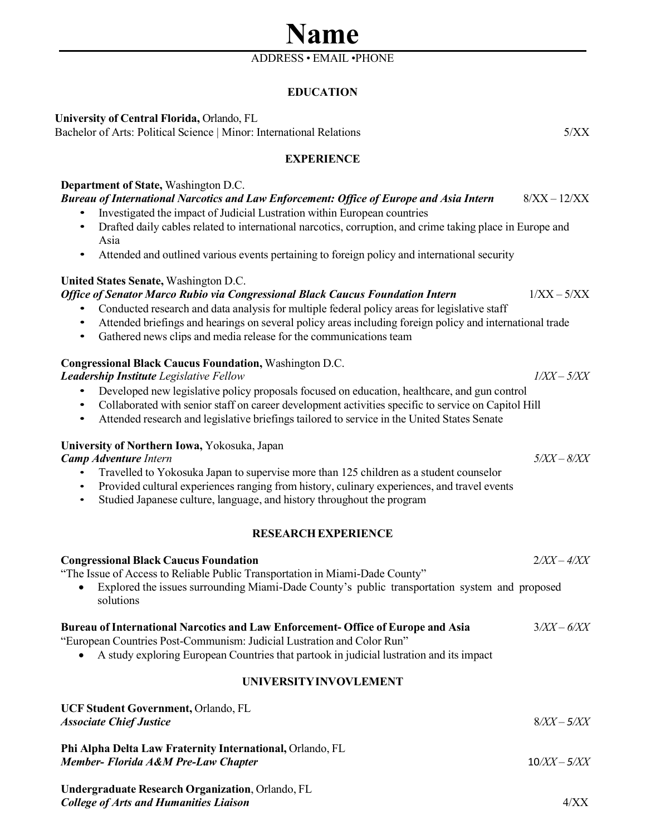# ADDRESS • EMAIL •PHONE

**Name**

### **EDUCATION**

| University of Central Florida, Orlando, FL<br>Bachelor of Arts: Political Science   Minor: International Relations                                                                                                                                                                                                                                                                                                                       | 5/XX           |  |
|------------------------------------------------------------------------------------------------------------------------------------------------------------------------------------------------------------------------------------------------------------------------------------------------------------------------------------------------------------------------------------------------------------------------------------------|----------------|--|
| <b>EXPERIENCE</b>                                                                                                                                                                                                                                                                                                                                                                                                                        |                |  |
| Department of State, Washington D.C.<br><b>Bureau of International Narcotics and Law Enforcement: Office of Europe and Asia Intern</b><br>Investigated the impact of Judicial Lustration within European countries<br>Drafted daily cables related to international narcotics, corruption, and crime taking place in Europe and<br>Asia<br>Attended and outlined various events pertaining to foreign policy and international security  | $8/XX - 12/XX$ |  |
| United States Senate, Washington D.C.<br>Office of Senator Marco Rubio via Congressional Black Caucus Foundation Intern<br>Conducted research and data analysis for multiple federal policy areas for legislative staff<br>Attended briefings and hearings on several policy areas including foreign policy and international trade<br>$\bullet$<br>Gathered news clips and media release for the communications team<br>$\bullet$       | $1/XX - 5/XX$  |  |
| <b>Congressional Black Caucus Foundation, Washington D.C.</b><br>Leadership Institute Legislative Fellow<br>Developed new legislative policy proposals focused on education, healthcare, and gun control<br>Collaborated with senior staff on career development activities specific to service on Capitol Hill<br>$\bullet$<br>Attended research and legislative briefings tailored to service in the United States Senate<br>$\bullet$ | $1/XX - 5/XX$  |  |
| University of Northern Iowa, Yokosuka, Japan<br><b>Camp Adventure Intern</b><br>Travelled to Yokosuka Japan to supervise more than 125 children as a student counselor<br>$\bullet$<br>Provided cultural experiences ranging from history, culinary experiences, and travel events<br>$\bullet$<br>Studied Japanese culture, language, and history throughout the program<br>$\bullet$                                                   | $5/XX - 8/XX$  |  |
| <b>RESEARCH EXPERIENCE</b>                                                                                                                                                                                                                                                                                                                                                                                                               |                |  |
| <b>Congressional Black Caucus Foundation</b><br>"The Issue of Access to Reliable Public Transportation in Miami-Dade County"<br>Explored the issues surrounding Miami-Dade County's public transportation system and proposed<br>solutions                                                                                                                                                                                               | $2/XX - 4/XX$  |  |
| <b>Bureau of International Narcotics and Law Enforcement-Office of Europe and Asia</b><br>"European Countries Post-Communism: Judicial Lustration and Color Run"<br>A study exploring European Countries that partook in judicial lustration and its impact                                                                                                                                                                              | $3/XX - 6/XX$  |  |
| UNIVERSITY INVOVLEMENT                                                                                                                                                                                                                                                                                                                                                                                                                   |                |  |
| UCF Student Government, Orlando, FL<br><b>Associate Chief Justice</b>                                                                                                                                                                                                                                                                                                                                                                    | $8/XX - 5/XX$  |  |
| Phi Alpha Delta Law Fraternity International, Orlando, FL<br>Member- Florida A&M Pre-Law Chapter                                                                                                                                                                                                                                                                                                                                         | $10/XX - 5/XX$ |  |

**Undergraduate Research Organization**, Orlando, FL *College of Arts and Humanities Liaison* 4/XX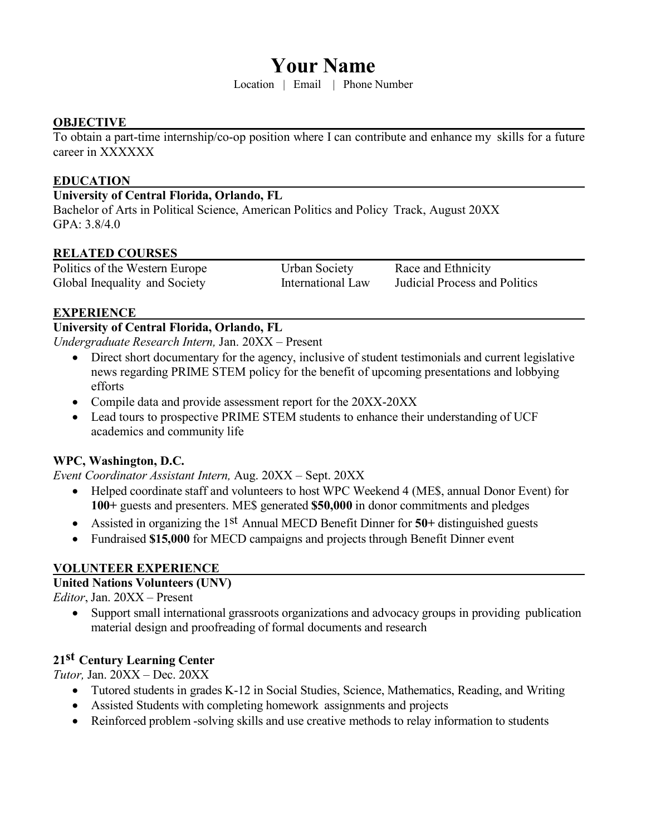# **Your Name**

Location | Email | Phone Number

### **OBJECTIVE**

To obtain a part-time internship/co-op position where I can contribute and enhance my skills for a future career in XXXXXX

#### **EDUCATION**

# **University of Central Florida, Orlando, FL**

Bachelor of Arts in Political Science, American Politics and Policy Track, August 20XX GPA: 3.8/4.0

#### **RELATED COURSES**

Politics of the Western Europe Urban Society Race and Ethnicity Global Inequality and Society **International Law** Judicial Process and Politics

#### **EXPERIENCE**

### **University of Central Florida, Orlando, FL**

*Undergraduate Research Intern,* Jan. 20XX – Present

- Direct short documentary for the agency, inclusive of student testimonials and current legislative news regarding PRIME STEM policy for the benefit of upcoming presentations and lobbying efforts
- Compile data and provide assessment report for the 20XX-20XX
- Lead tours to prospective PRIME STEM students to enhance their understanding of UCF academics and community life

# **WPC, Washington, D.C.**

*Event Coordinator Assistant Intern,* Aug. 20XX – Sept. 20XX

- Helped coordinate staff and volunteers to host WPC Weekend 4 (ME\$, annual Donor Event) for **100+** guests and presenters. ME\$ generated **\$50,000** in donor commitments and pledges
- Assisted in organizing the 1st Annual MECD Benefit Dinner for **50+** distinguished guests
- Fundraised **\$15,000** for MECD campaigns and projects through Benefit Dinner event

# **VOLUNTEER EXPERIENCE**

#### **United Nations Volunteers (UNV)**

*Editor*, Jan. 20XX – Present

• Support small international grassroots organizations and advocacy groups in providing publication material design and proofreading of formal documents and research

# **21st Century Learning Center**

*Tutor,* Jan. 20XX – Dec. 20XX

- Tutored students in grades K-12 in Social Studies, Science, Mathematics, Reading, and Writing
- Assisted Students with completing homework assignments and projects
- Reinforced problem -solving skills and use creative methods to relay information to students